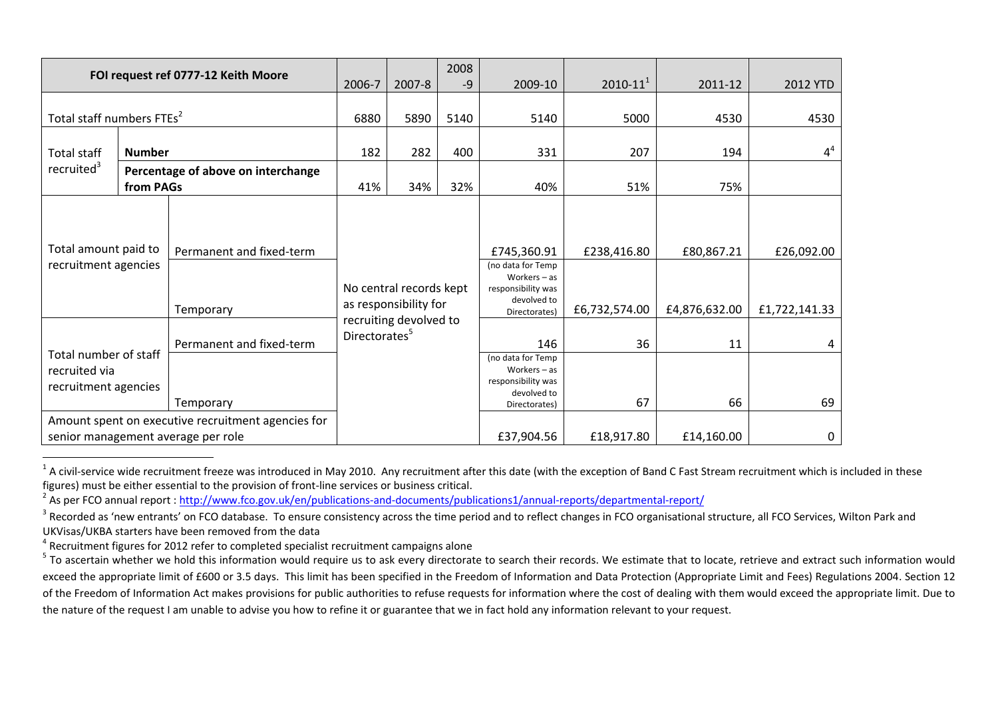| FOI request ref 0777-12 Keith Moore                                                      |                                                 | 2006-7                   | 2007-8                                                                                                  | 2008<br>$-9$ | 2009-10     | $2010 - 11^{1}$                                                                           | 2011-12       | 2012 YTD      |                |
|------------------------------------------------------------------------------------------|-------------------------------------------------|--------------------------|---------------------------------------------------------------------------------------------------------|--------------|-------------|-------------------------------------------------------------------------------------------|---------------|---------------|----------------|
|                                                                                          |                                                 |                          |                                                                                                         |              |             |                                                                                           |               |               |                |
| Total staff numbers FTEs <sup>2</sup>                                                    |                                                 |                          | 6880                                                                                                    | 5890         | 5140        | 5140                                                                                      | 5000          | 4530          | 4530           |
| <b>Total staff</b><br>recruited <sup>3</sup>                                             | <b>Number</b>                                   |                          | 182                                                                                                     | 282          | 400         | 331                                                                                       | 207           | 194           | 4 <sup>4</sup> |
|                                                                                          | Percentage of above on interchange<br>from PAGs |                          | 41%                                                                                                     | 34%          | 32%         | 40%                                                                                       | 51%           | 75%           |                |
| Total amount paid to<br>recruitment agencies                                             |                                                 | Permanent and fixed-term |                                                                                                         |              | £745,360.91 | £238,416.80                                                                               | £80,867.21    | £26,092.00    |                |
|                                                                                          |                                                 | Temporary                | No central records kept<br>as responsibility for<br>recruiting devolved to<br>Directorates <sup>5</sup> |              |             | (no data for Temp<br>Workers $-$ as<br>responsibility was<br>devolved to<br>Directorates) | £6,732,574.00 | £4,876,632.00 | £1,722,141.33  |
| Total number of staff<br>recruited via<br>recruitment agencies                           |                                                 | Permanent and fixed-term |                                                                                                         |              |             | 146                                                                                       | 36            | 11            |                |
|                                                                                          |                                                 | Temporary                |                                                                                                         |              |             | (no data for Temp<br>Workers $-$ as<br>responsibility was<br>devolved to<br>Directorates) | 67            | 66            | 69             |
| Amount spent on executive recruitment agencies for<br>senior management average per role |                                                 |                          |                                                                                                         |              |             | £37,904.56                                                                                | £18,917.80    | £14,160.00    | 0              |

 $\frac{1}{1}$ A civil-service wide recruitment freeze was introduced in May 2010. Any recruitment after this date (with the exception of Band C Fast Stream recruitment which is included in these figures) must be either essential to the provision of front-line services or business critical.

<sup>&</sup>lt;sup>2</sup> As per FCO annual report : <u>http://www.fco.gov.uk/en/publications-and-documents/publications1/annual-reports/departmental-report/</u>

 $^3$  Recorded as 'new entrants' on FCO database. To ensure consistency across the time period and to reflect changes in FCO organisational structure, all FCO Services, Wilton Park and UKVisas/UKBA starters have been removed from the data

 $^4$  Recruitment figures for 2012 refer to completed specialist recruitment campaigns alone

 $5$  To ascertain whether we hold this information would require us to ask every directorate to search their records. We estimate that to locate, retrieve and extract such information would exceed the appropriate limit of £600 or 3.5 days. This limit has been specified in the Freedom of Information and Data Protection (Appropriate Limit and Fees) Regulations 2004. Section 12 of the Freedom of Information Act makes provisions for public authorities to refuse requests for information where the cost of dealing with them would exceed the appropriate limit. Due to the nature of the request I am unable to advise you how to refine it or guarantee that we in fact hold any information relevant to your request.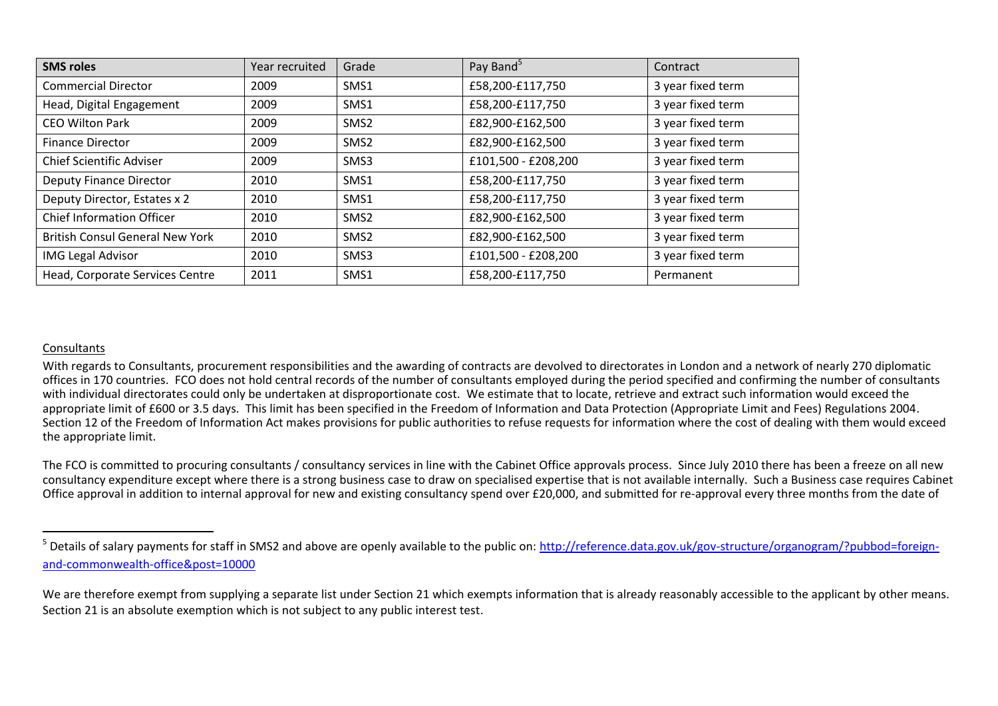| <b>SMS roles</b>                       | Year recruited | Grade            | Pay Band <sup>5</sup> | Contract          |
|----------------------------------------|----------------|------------------|-----------------------|-------------------|
| <b>Commercial Director</b>             | 2009           | SMS1             | £58,200-£117,750      | 3 year fixed term |
| Head, Digital Engagement               | 2009           | SMS1             | £58,200-£117,750      | 3 year fixed term |
| <b>CEO Wilton Park</b>                 | 2009           | SMS <sub>2</sub> | £82,900-£162,500      | 3 year fixed term |
| <b>Finance Director</b>                | 2009           | SMS <sub>2</sub> | £82,900-£162,500      | 3 year fixed term |
| <b>Chief Scientific Adviser</b>        | 2009           | SMS3             | £101,500 - £208,200   | 3 year fixed term |
| <b>Deputy Finance Director</b>         | 2010           | SMS1             | £58,200-£117,750      | 3 year fixed term |
| Deputy Director, Estates x 2           | 2010           | SMS1             | £58,200-£117,750      | 3 year fixed term |
| <b>Chief Information Officer</b>       | 2010           | SMS <sub>2</sub> | £82,900-£162,500      | 3 year fixed term |
| <b>British Consul General New York</b> | 2010           | SMS <sub>2</sub> | £82,900-£162,500      | 3 year fixed term |
| <b>IMG Legal Advisor</b>               | 2010           | SMS3             | £101,500 - £208,200   | 3 year fixed term |
| Head, Corporate Services Centre        | 2011           | SMS1             | £58,200-£117,750      | Permanent         |

## Consultants

 $\overline{a}$ 

With regards to Consultants, procurement responsibilities and the awarding of contracts are devolved to directorates in London and a network of nearly 270 diplomatic offices in 170 countries. FCO does not hold central records of the number of consultants employed during the period specified and confirming the number of consultants with individual directorates could only be undertaken at disproportionate cost. We estimate that to locate, retrieve and extract such information would exceed the appropriate limit of £600 or 3.5 days. This limit has been specified in the Freedom of Information and Data Protection (Appropriate Limit and Fees) Regulations 2004. Section 12 of the Freedom of Information Act makes provisions for public authorities to refuse requests for information where the cost of dealing with them would exceed the appropriate limit.

The FCO is committed to procuring consultants / consultancy services in line with the Cabinet Office approvals process. Since July 2010 there has been a freeze on all new consultancy expenditure except where there is a strong business case to draw on specialised expertise that is not available internally. Such a Business case requires Cabinet Office approval in addition to internal approval for new and existing consultancy spend over £20,000, and submitted for re-approval every three months from the date of

We are therefore exempt from supplying a separate list under Section 21 which exempts information that is already reasonably accessible to the applicant by other means. Section 21 is an absolute exemption which is not subject to any public interest test.

<sup>&</sup>lt;sup>5</sup> Details of salary payments for staff in SMS2 and above are openly available to the public on: [http://reference.data.gov.uk/gov-structure/organogram/?pubbod=foreign](http://reference.data.gov.uk/gov-structure/organogram/?pubbod=foreign-and-commonwealth-office&post=10000)[and-commonwealth-office&post=10000](http://reference.data.gov.uk/gov-structure/organogram/?pubbod=foreign-and-commonwealth-office&post=10000)